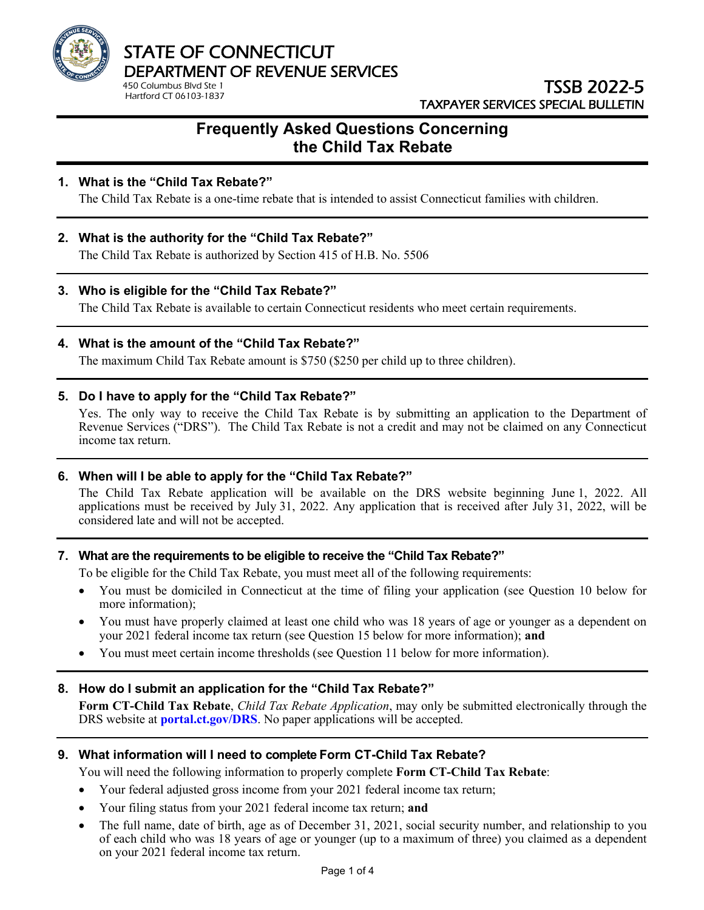

# TSSB 2022-5 TAXPAYER SERVICES SPECIAL BULLETIN

# **Frequently Asked Questions Concerning the Child Tax Rebate**

# **1. What is the "Child Tax Rebate?"**

The Child Tax Rebate is a one-time rebate that is intended to assist Connecticut families with children.

# **2. What is the authority for the "Child Tax Rebate?"**

The Child Tax Rebate is authorized by Section 415 of H.B. No. 5506

## **3. Who is eligible for the "Child Tax Rebate?"**

The Child Tax Rebate is available to certain Connecticut residents who meet certain requirements.

#### **4. What is the amount of the "Child Tax Rebate?"**

The maximum Child Tax Rebate amount is \$750 (\$250 per child up to three children).

## **5. Do I have to apply for the "Child Tax Rebate?"**

Yes. The only way to receive the Child Tax Rebate is by submitting an application to the Department of Revenue Services ("DRS"). The Child Tax Rebate is not a credit and may not be claimed on any Connecticut income tax return.

## **6. When will I be able to apply for the "Child Tax Rebate?"**

The Child Tax Rebate application will be available on the DRS website beginning June 1, 2022. All applications must be received by July 31, 2022. Any application that is received after July 31, 2022, will be considered late and will not be accepted.

#### **7. What are the requirements to be eligible to receive the "Child Tax Rebate?"**

To be eligible for the Child Tax Rebate, you must meet all of the following requirements:

- You must be domiciled in Connecticut at the time of filing your application (see Question 10 below for more information);
- You must have properly claimed at least one child who was 18 years of age or younger as a dependent on your 2021 federal income tax return (see Question 15 below for more information); **and**
- You must meet certain income thresholds (see Question 11 below for more information).

# **8. How do I submit an application for the "Child Tax Rebate?"**

**Form CT-Child Tax Rebate**, *Child Tax Rebate Application*, may only be submitted electronically through the DRS website at **[portal.ct.gov/DRS](https://portal.ct.gov/DRS)**. No paper applications will be accepted.

#### **9. What information will I need to complete Form CT-Child Tax Rebate?**

You will need the following information to properly complete **Form CT-Child Tax Rebate**:

- Your federal adjusted gross income from your 2021 federal income tax return;
- Your filing status from your 2021 federal income tax return; **and**
- The full name, date of birth, age as of December 31, 2021, social security number, and relationship to you of each child who was 18 years of age or younger (up to a maximum of three) you claimed as a dependent on your 2021 federal income tax return.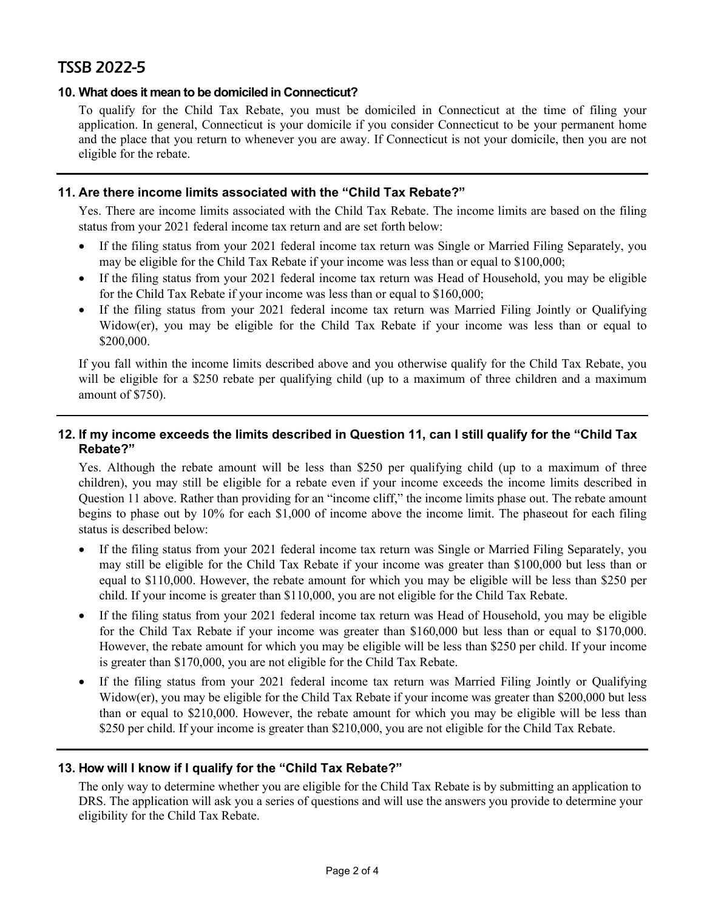# TSSB 2022-5

## **10. What does it mean to be domiciled in Connecticut?**

To qualify for the Child Tax Rebate, you must be domiciled in Connecticut at the time of filing your application. In general, Connecticut is your domicile if you consider Connecticut to be your permanent home and the place that you return to whenever you are away. If Connecticut is not your domicile, then you are not eligible for the rebate.

## **11. Are there income limits associated with the "Child Tax Rebate?"**

Yes. There are income limits associated with the Child Tax Rebate. The income limits are based on the filing status from your 2021 federal income tax return and are set forth below:

- If the filing status from your 2021 federal income tax return was Single or Married Filing Separately, you may be eligible for the Child Tax Rebate if your income was less than or equal to \$100,000;
- If the filing status from your 2021 federal income tax return was Head of Household, you may be eligible for the Child Tax Rebate if your income was less than or equal to \$160,000;
- If the filing status from your 2021 federal income tax return was Married Filing Jointly or Qualifying Widow(er), you may be eligible for the Child Tax Rebate if your income was less than or equal to \$200,000.

If you fall within the income limits described above and you otherwise qualify for the Child Tax Rebate, you will be eligible for a \$250 rebate per qualifying child (up to a maximum of three children and a maximum amount of \$750).

# **12. If my income exceeds the limits described in Question 11, can I still qualify for the "Child Tax Rebate?"**

Yes. Although the rebate amount will be less than \$250 per qualifying child (up to a maximum of three children), you may still be eligible for a rebate even if your income exceeds the income limits described in Question 11 above. Rather than providing for an "income cliff," the income limits phase out. The rebate amount begins to phase out by 10% for each \$1,000 of income above the income limit. The phaseout for each filing status is described below:

- If the filing status from your 2021 federal income tax return was Single or Married Filing Separately, you may still be eligible for the Child Tax Rebate if your income was greater than \$100,000 but less than or equal to \$110,000. However, the rebate amount for which you may be eligible will be less than \$250 per child. If your income is greater than \$110,000, you are not eligible for the Child Tax Rebate.
- If the filing status from your 2021 federal income tax return was Head of Household, you may be eligible for the Child Tax Rebate if your income was greater than \$160,000 but less than or equal to \$170,000. However, the rebate amount for which you may be eligible will be less than \$250 per child. If your income is greater than \$170,000, you are not eligible for the Child Tax Rebate.
- If the filing status from your 2021 federal income tax return was Married Filing Jointly or Qualifying Widow(er), you may be eligible for the Child Tax Rebate if your income was greater than \$200,000 but less than or equal to \$210,000. However, the rebate amount for which you may be eligible will be less than \$250 per child. If your income is greater than \$210,000, you are not eligible for the Child Tax Rebate.

#### **13. How will I know if I qualify for the "Child Tax Rebate?"**

The only way to determine whether you are eligible for the Child Tax Rebate is by submitting an application to DRS. The application will ask you a series of questions and will use the answers you provide to determine your eligibility for the Child Tax Rebate.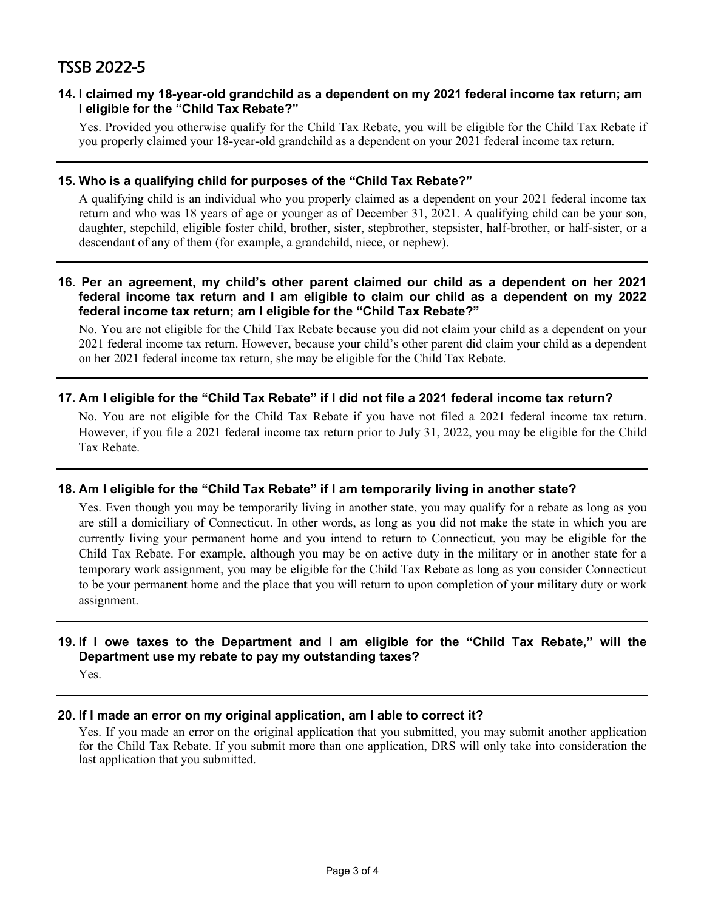# TSSB 2022-5

#### **14. I claimed my 18-year-old grandchild as a dependent on my 2021 federal income tax return; am I eligible for the "Child Tax Rebate?"**

Yes. Provided you otherwise qualify for the Child Tax Rebate, you will be eligible for the Child Tax Rebate if you properly claimed your 18-year-old grandchild as a dependent on your 2021 federal income tax return.

#### **15. Who is a qualifying child for purposes of the "Child Tax Rebate?"**

A qualifying child is an individual who you properly claimed as a dependent on your 2021 federal income tax return and who was 18 years of age or younger as of December 31, 2021. A qualifying child can be your son, daughter, stepchild, eligible foster child, brother, sister, stepbrother, stepsister, half-brother, or half-sister, or a descendant of any of them (for example, a grandchild, niece, or nephew).

#### **16. Per an agreement, my child's other parent claimed our child as a dependent on her 2021 federal income tax return and I am eligible to claim our child as a dependent on my 2022 federal income tax return; am I eligible for the "Child Tax Rebate?"**

No. You are not eligible for the Child Tax Rebate because you did not claim your child as a dependent on your 2021 federal income tax return. However, because your child's other parent did claim your child as a dependent on her 2021 federal income tax return, she may be eligible for the Child Tax Rebate.

# **17. Am I eligible for the "Child Tax Rebate" if I did not file a 2021 federal income tax return?**

No. You are not eligible for the Child Tax Rebate if you have not filed a 2021 federal income tax return. However, if you file a 2021 federal income tax return prior to July 31, 2022, you may be eligible for the Child Tax Rebate.

#### **18. Am I eligible for the "Child Tax Rebate" if I am temporarily living in another state?**

Yes. Even though you may be temporarily living in another state, you may qualify for a rebate as long as you are still a domiciliary of Connecticut. In other words, as long as you did not make the state in which you are currently living your permanent home and you intend to return to Connecticut, you may be eligible for the Child Tax Rebate. For example, although you may be on active duty in the military or in another state for a temporary work assignment, you may be eligible for the Child Tax Rebate as long as you consider Connecticut to be your permanent home and the place that you will return to upon completion of your military duty or work assignment.

# **19. If I owe taxes to the Department and I am eligible for the "Child Tax Rebate," will the Department use my rebate to pay my outstanding taxes?**

Yes.

#### **20. If I made an error on my original application, am I able to correct it?**

Yes. If you made an error on the original application that you submitted, you may submit another application for the Child Tax Rebate. If you submit more than one application, DRS will only take into consideration the last application that you submitted.